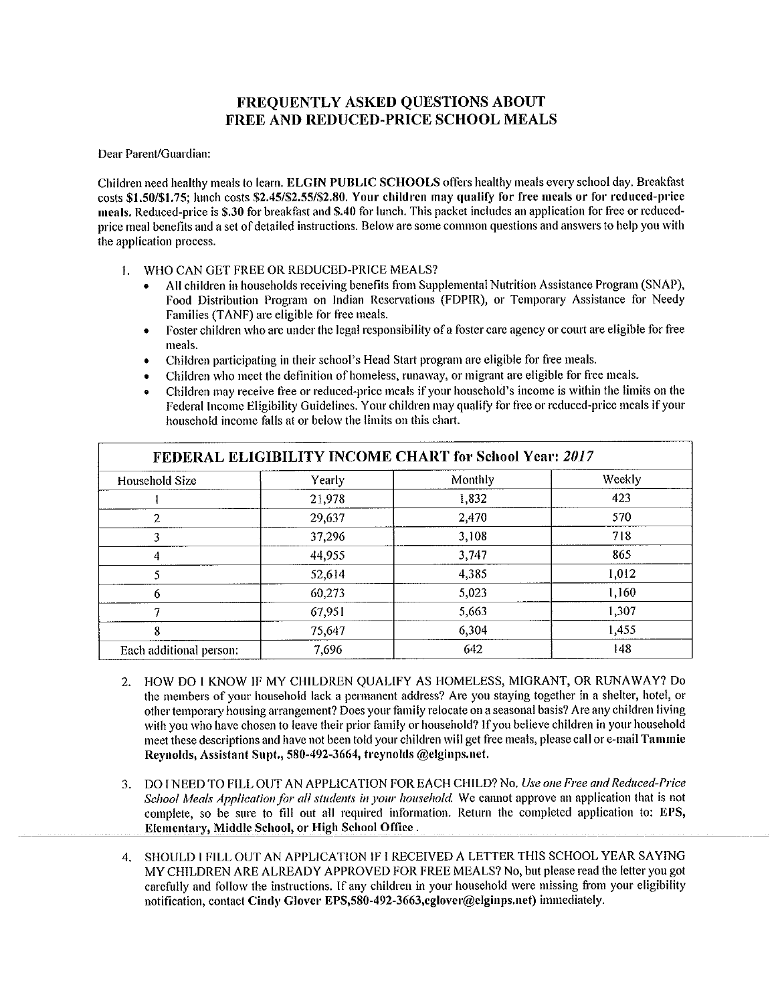## **FREOUENTLY ASKED OUESTIONS ABOUT FREE AND REDUCED-PRICE SCHOOL MEALS**

Dear Parent/Guardian:

Children need healthy meals to learn. ELGIN PUBLIC SCHOOLS offers healthy meals every school day. Breakfast costs \$1.50/\$1.75; lunch costs \$2.45/\$2.55/\$2.80. Your children may qualify for free meals or for reduced-price meals. Reduced-price is \$.30 for breakfast and \$.40 for lunch. This packet includes an application for free or reducedprice meal benefits and a set of detailed instructions. Below are some common questions and answers to help you with the application process.

- 1. WHO CAN GET FREE OR REDUCED-PRICE MEALS?
	- All children in households receiving benefits from Supplemental Nutrition Assistance Program (SNAP), Food Distribution Program on Indian Reservations (FDPIR), or Temporary Assistance for Needy Families (TANF) are eligible for free meals.
	- Foster children who are under the legal responsibility of a foster care agency or court are eligible for free  $\bullet$ meals.
	- Children participating in their school's Head Start program are eligible for free meals.  $\bullet$
	- Children who meet the definition of homeless, runaway, or migrant are eligible for free meals.
	- Children may receive free or reduced-price meals if your household's income is within the limits on the Federal Income Eligibility Guidelines. Your children may qualify for free or reduced-price meals if your household income falls at or below the limits on this chart.

| FEDERAL ELIGIBILITY INCOME CHART for School Year: 2017 |        |         |        |  |  |  |  |  |  |
|--------------------------------------------------------|--------|---------|--------|--|--|--|--|--|--|
| Household Size                                         | Yearly | Monthly | Weekly |  |  |  |  |  |  |
|                                                        | 21,978 | 1,832   | 423    |  |  |  |  |  |  |
| 2                                                      | 29,637 | 2,470   | 570    |  |  |  |  |  |  |
| 3                                                      | 37,296 | 3,108   | 718    |  |  |  |  |  |  |
| 4                                                      | 44,955 | 3,747   | 865    |  |  |  |  |  |  |
|                                                        | 52,614 | 4.385   | 1,012  |  |  |  |  |  |  |
| 6                                                      | 60,273 | 5,023   | 1,160  |  |  |  |  |  |  |
| π                                                      | 67,951 | 5,663   | 1,307  |  |  |  |  |  |  |
| 8                                                      | 75,647 | 6.304   | 1,455  |  |  |  |  |  |  |
| Each additional person:                                | 7.696  | 642     | 148    |  |  |  |  |  |  |

- HOW DO I KNOW IF MY CHILDREN QUALIFY AS HOMELESS, MIGRANT, OR RUNAWAY? Do  $2.$ the members of your household lack a permanent address? Are you staying together in a shelter, hotel, or other temporary housing arrangement? Does your family relocate on a seasonal basis? Are any children living with you who have chosen to leave their prior family or household? If you believe children in your household meet these descriptions and have not been told your children will get free meals, please call or e-mail Tammie Reynolds, Assistant Supt., 580-492-3664, treynolds @elginps.net.
- 3. DO I NEED TO FILL OUT AN APPLICATION FOR EACH CHILD? No. Use one Free and Reduced-Price School Meals Application for all students in your household. We cannot approve an application that is not complete, so be sure to fill out all required information. Return the completed application to: EPS, Elementary, Middle School, or High School Office.
- SHOULD I FILL OUT AN APPLICATION IF I RECEIVED A LETTER THIS SCHOOL YEAR SAYING 4. MY CHILDREN ARE ALREADY APPROVED FOR FREE MEALS? No, but please read the letter you got carefully and follow the instructions. If any children in your household were missing from your eligibility notification, contact Cindy Glover EPS,580-492-3663, eglover@elginps.net) immediately.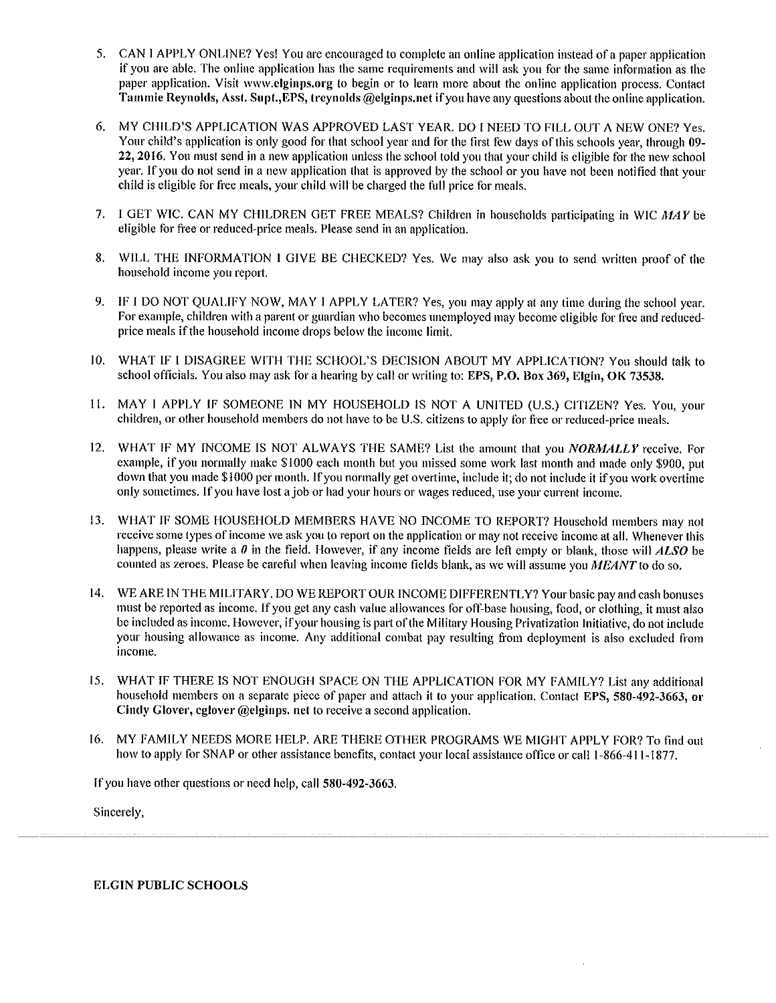- 5. CAN I APPLY ONLINE? Yes! You are encouraged to complete an online application instead of a paper application if you are able. The online application has the same requirements and will ask you for the same information as the paper application. Visit www.elginps.org to begin or to learn more about the online application process. Contact Tammie Reynolds, Asst. Supt., EPS, treynolds @elginps.net if you have any questions about the online application.
- MY CHILD'S APPLICATION WAS APPROVED LAST YEAR. DO I NEED TO FILL OUT A NEW ONE? Yes. 6. Your child's application is only good for that school year and for the first few days of this schools year, through 09-22, 2016. You must send in a new application unless the school told you that your child is eligible for the new school year. If you do not send in a new application that is approved by the school or you have not been notified that your child is eligible for free meals, your child will be charged the full price for meals.
- 7. I GET WIC. CAN MY CHILDREN GET FREE MEALS? Children in households participating in WIC MAY be eligible for free or reduced-price meals. Please send in an application.
- WILL THE INFORMATION I GIVE BE CHECKED? Yes. We may also ask you to send written proof of the 8. household income you report.
- 9. IF I DO NOT QUALIFY NOW, MAY I APPLY LATER? Yes, you may apply at any time during the school year. For example, children with a parent or guardian who becomes unemployed may become eligible for free and reducedprice meals if the household income drops below the income limit.
- 10. WHAT IF I DISAGREE WITH THE SCHOOL'S DECISION ABOUT MY APPLICATION? You should talk to school officials. You also may ask for a hearing by call or writing to: EPS, P.O. Box 369, Elgin, OK 73538.
- 11. MAY I APPLY IF SOMEONE IN MY HOUSEHOLD IS NOT A UNITED (U.S.) CITIZEN? Yes. You, your children, or other household members do not have to be U.S. citizens to apply for free or reduced-price meals.
- WHAT IF MY INCOME IS NOT ALWAYS THE SAME? List the amount that you NORMALLY receive. For  $12.$ example, if you normally make \$1000 each month but you missed some work last month and made only \$900, put down that you made \$1000 per month. If you normally get overtime, include it; do not include it if you work overtime only sometimes. If you have lost a job or had your hours or wages reduced, use your current income.
- WHAT IF SOME HOUSEHOLD MEMBERS HAVE NO INCOME TO REPORT? Household members may not  $13.$ receive some types of income we ask you to report on the application or may not receive income at all. Whenever this happens, please write a  $\theta$  in the field. However, if any income fields are left empty or blank, those will  $ALSO$  be counted as zeroes. Please be careful when leaving income fields blank, as we will assume you MEANT to do so.
- 14. WE ARE IN THE MILITARY. DO WE REPORT OUR INCOME DIFFERENTLY? Your basic pay and cash bonuses must be reported as income. If you get any cash value allowances for off-base housing, food, or clothing, it must also be included as income. However, if your housing is part of the Military Housing Privatization Initiative, do not include your housing allowance as income. Any additional combat pay resulting from deployment is also excluded from income.
- $15.$ WHAT IF THERE IS NOT ENOUGH SPACE ON THE APPLICATION FOR MY FAMILY? List any additional household members on a separate piece of paper and attach it to your application. Contact EPS, 580-492-3663, or Cindy Glover, eglover @elginps. net to receive a second application.
- 16. MY FAMILY NEEDS MORE HELP. ARE THERE OTHER PROGRAMS WE MIGHT APPLY FOR? To find out how to apply for SNAP or other assistance benefits, contact your local assistance office or call 1-866-411-1877.

If you have other questions or need help, call 580-492-3663.

Sincerely,

**ELGIN PUBLIC SCHOOLS**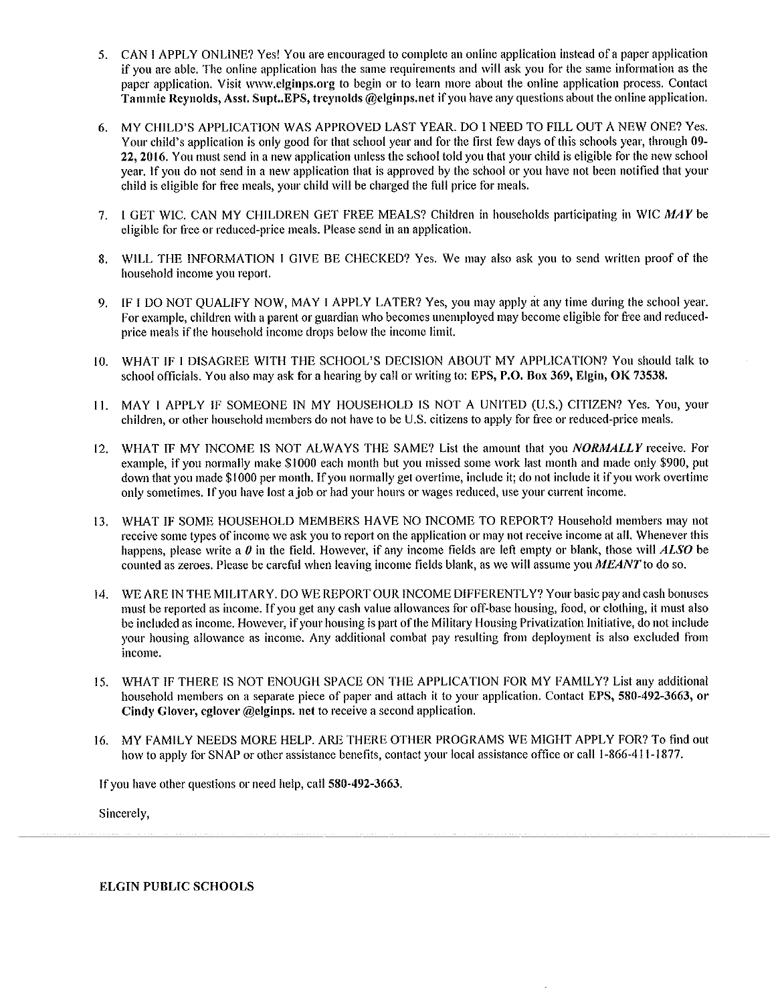- 5. CAN I APPLY ONLINE? Yes! You are encouraged to complete an online application instead of a paper application if you are able. The online application has the same requirements and will ask you for the same information as the paper application. Visit www.elginps.org to begin or to learn more about the online application process. Contact Tammie Reynolds, Asst. Supt..EPS, treynolds @elginps.net if you have any questions about the online application.
- MY CHILD'S APPLICATION WAS APPROVED LAST YEAR. DO I NEED TO FILL OUT A NEW ONE? Yes. 6. Your child's application is only good for that school year and for the first few days of this schools year, through 09-22, 2016. You must send in a new application unless the school told you that your child is eligible for the new school year. If you do not send in a new application that is approved by the school or you have not been notified that your child is eligible for free meals, your child will be charged the full price for meals.
- $7<sub>1</sub>$ I GET WIC. CAN MY CHILDREN GET FREE MEALS? Children in households participating in WIC MAY be eligible for free or reduced-price meals. Please send in an application.
- WILL THE INFORMATION I GIVE BE CHECKED? Yes. We may also ask you to send written proof of the 8. household income you report.
- IF I DO NOT QUALIFY NOW, MAY I APPLY LATER? Yes, you may apply at any time during the school year. 9. For example, children with a parent or guardian who becomes unemployed may become eligible for free and reducedprice meals if the household income drops below the income limit.
- $10<sub>1</sub>$ WHAT IF I DISAGREE WITH THE SCHOOL'S DECISION ABOUT MY APPLICATION? You should talk to school officials. You also may ask for a hearing by call or writing to: EPS, P.O. Box 369, Elgin, OK 73538.
- MAY I APPLY IF SOMEONE IN MY HOUSEHOLD IS NOT A UNITED (U.S.) CITIZEN? Yes. You, your  $11.$ children, or other household members do not have to be U.S. citizens to apply for free or reduced-price meals.
- WHAT IF MY INCOME IS NOT ALWAYS THE SAME? List the amount that you *NORMALLY* receive. For  $12.$ example, if you normally make \$1000 each month but you missed some work last month and made only \$900, put down that you made \$1000 per month. If you normally get overtime, include it; do not include it if you work overtime only sometimes. If you have lost a job or had your hours or wages reduced, use your current income.
- WHAT IF SOME HOUSEHOLD MEMBERS HAVE NO INCOME TO REPORT? Household members may not  $13.$ receive some types of income we ask you to report on the application or may not receive income at all. Whenever this happens, please write a  $\theta$  in the field. However, if any income fields are left empty or blank, those will  $ALSO$  be counted as zeroes. Please be careful when leaving income fields blank, as we will assume you MEANT to do so.
- 14. WE ARE IN THE MILITARY, DO WE REPORT OUR INCOME DIFFERENTLY? Your basic pay and cash bonuses must be reported as income. If you get any cash value allowances for off-base housing, food, or clothing, it must also be included as income. However, if your housing is part of the Military Housing Privatization Initiative, do not include your housing allowance as income. Any additional combat pay resulting from deployment is also excluded from income.
- WHAT IF THERE IS NOT ENOUGH SPACE ON THE APPLICATION FOR MY FAMILY? List any additional 15. household members on a separate piece of paper and attach it to your application. Contact EPS, 580-492-3663, or Cindy Glover, eglover @elginps. net to receive a second application.
- MY FAMILY NEEDS MORE HELP. ARE THERE OTHER PROGRAMS WE MIGHT APPLY FOR? To find out 16. how to apply for SNAP or other assistance benefits, contact your local assistance office or call 1-866-411-1877.

If you have other questions or need help, call 580-492-3663.

Sincerely,

**ELGIN PUBLIC SCHOOLS**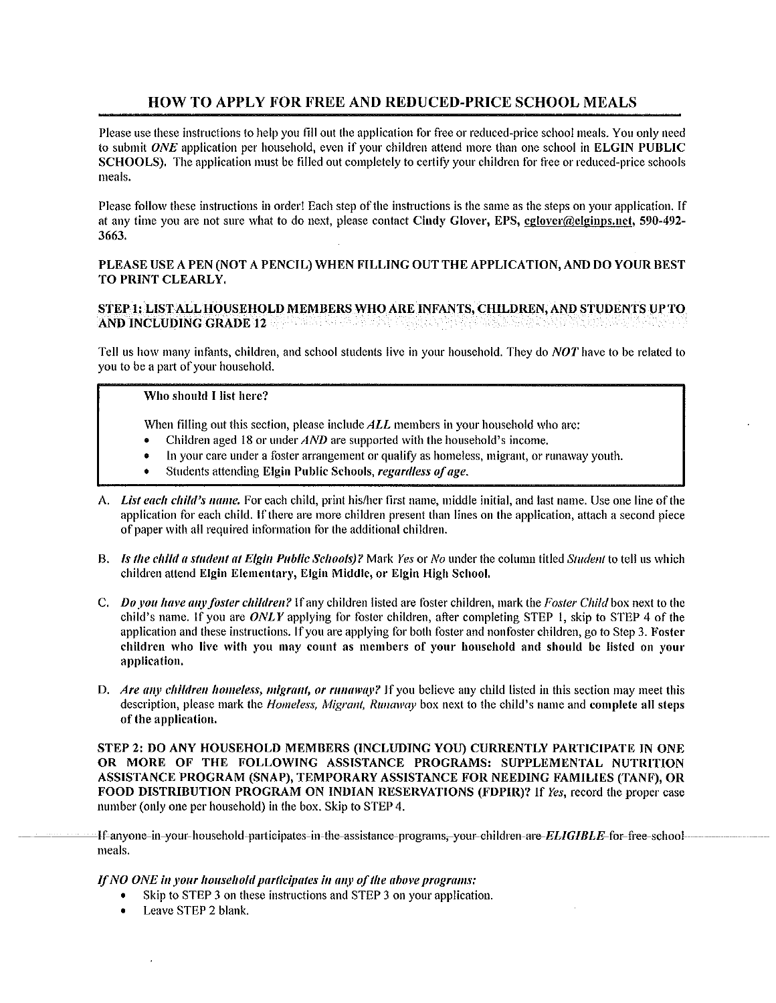## **HOW TO APPLY FOR FREE AND REDUCED-PRICE SCHOOL MEALS**

Please use these instructions to help you fill out the application for free or reduced-price school meals. You only need to submit ONE application per household, even if your children attend more than one school in ELGIN PUBLIC SCHOOLS). The application must be filled out completely to certify your children for free or reduced-price schools meals.

Please follow these instructions in order! Each step of the instructions is the same as the steps on your application. If at any time you are not sure what to do next, please contact Cindy Glover, EPS, eglover@elginps.net, 590-492-3663.

#### PLEASE USE A PEN (NOT A PENCIL) WHEN FILLING OUT THE APPLICATION, AND DO YOUR BEST TO PRINT CLEARLY.

#### STEP 1: LIST ALL HOUSEHOLD MEMBERS WHO ARE INFANTS, CHILDREN, AND STUDENTS UP TO AND INCLUDING GRADE 12 **AND INCLUDING GRADE**

Tell us how many infants, children, and school students live in your household. They do *NOT* have to be related to you to be a part of your household,

### Who should I list here?

When filling out this section, please include ALL members in your household who are:

- Children aged 18 or under  $AND$  are supported with the household's income.
- In your care under a foster arrangement or qualify as homeless, migrant, or runaway youth.
- Students attending Elgin Public Schools, regardless of age.
- A. List each child's name. For each child, print his/her first name, middle initial, and last name. Use one line of the application for each child. If there are more children present than lines on the application, attach a second piece of paper with all required information for the additional children.
- B. Is the child a student at Elgin Public Schools)? Mark Yes or No under the column titled Student to tell us which children attend Elgin Elementary, Elgin Middle, or Elgin High School.
- C. Do you have any foster children? If any children listed are foster children, mark the Foster Child box next to the child's name. If you are  $ONLY$  applying for foster children, after completing STEP 1, skip to STEP 4 of the application and these instructions. If you are applying for both foster and nonfoster children, go to Step 3. Foster children who live with you may count as members of your household and should be listed on your application.
- D. Are any children homeless, migrant, or runaway? If you believe any child listed in this section may meet this description, please mark the *Homeless, Migrant, Runaway* box next to the child's name and complete all steps of the application.

STEP 2: DO ANY HOUSEHOLD MEMBERS (INCLUDING YOU) CURRENTLY PARTICIPATE IN ONE OR MORE OF THE FOLLOWING ASSISTANCE PROGRAMS: SUPPLEMENTAL NUTRITION ASSISTANCE PROGRAM (SNAP), TEMPORARY ASSISTANCE FOR NEEDING FAMILIES (TANF), OR FOOD DISTRIBUTION PROGRAM ON INDIAN RESERVATIONS (FDPIR)? If Yes, record the proper case number (only one per household) in the box. Skip to STEP 4.

-If-anyone-in-your-household-participates-in-the-assistance-programs,-your-children-are-ELIGIBLE-for-free-school meals.

If NO ONE in your household participates in any of the above programs:

- Skip to STEP 3 on these instructions and STEP 3 on your application.
- Leave STEP 2 blank.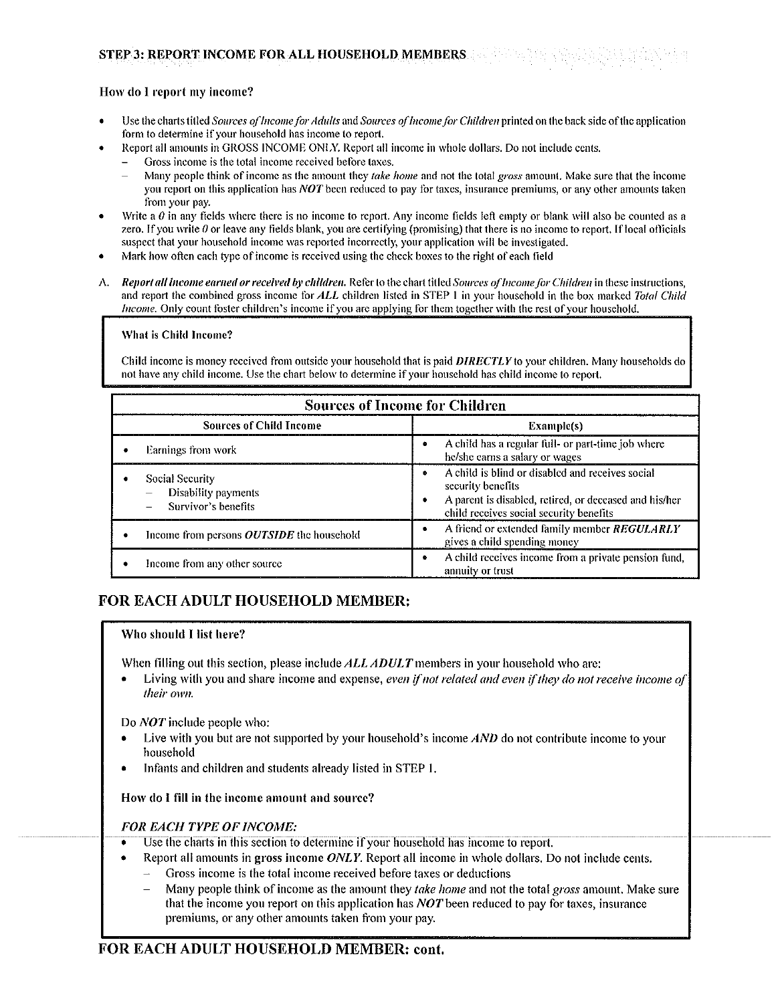#### STEP 3: REPORT INCOME FOR ALL HOUSEHOLD MEMBERS

## How do I report my income?

- Use the charts titled Sources of Income for Adults and Sources of Income for Children printed on the back side of the application form to determine if your household has income to report.
- Report all amounts in GROSS INCOME ONLY. Report all income in whole dollars. Do not include cents,
	- Gross income is the total income received before taxes.
	- Many people think of income as the amount they take home and not the total gross amount. Make sure that the income you report on this application has NOT been reduced to pay for taxes, insurance premiums, or any other amounts taken from your pay.
- Write a  $\theta$  in any fields where there is no income to report. Any income fields left empty or blank will also be counted as a zero. If you write  $\theta$  or leave any fields blank, you are certifying (promising) that there is no income to report. If local officials suspect that your household income was reported incorrectly, your application will be investigated.
- Mark how often each type of income is received using the check boxes to the right of each field
- Report all income earned or received by children. Refer to the chart titled Sources of Income for Children in these instructions.  $\Lambda$ . and report the combined gross income for ALL children listed in STEP 1 in your household in the box marked Total Child Income. Only count foster children's income if you are applying for them together with the rest of your household.

#### What is Child Income?

Child income is money received from outside your household that is paid **DIRECTLY** to your children. Many households do not have any child income. Use the chart below to determine if your household has child income to report.

| <b>Sources of Income for Children</b>                                 |                                                                                                                                                                            |  |  |  |  |  |  |  |
|-----------------------------------------------------------------------|----------------------------------------------------------------------------------------------------------------------------------------------------------------------------|--|--|--|--|--|--|--|
| <b>Sources of Child Income</b><br>Example(s)                          |                                                                                                                                                                            |  |  |  |  |  |  |  |
| Earnings from work                                                    | A child has a regular full- or part-time job where<br>he/she earns a salary or wages                                                                                       |  |  |  |  |  |  |  |
| Social Security<br>$-$ Disability payments<br>$-$ Survivor's benefits | A child is blind or disabled and receives social<br>security benefits<br>A parent is disabled, retired, or deceased and his/her<br>child receives social security benefits |  |  |  |  |  |  |  |
| Income from persons <i>OUTSIDE</i> the household                      | A friend or extended family member REGULARLY<br>gives a child spending money                                                                                               |  |  |  |  |  |  |  |
| Income from any other source.                                         | A child receives income from a private pension fund,<br>annuity or trust                                                                                                   |  |  |  |  |  |  |  |

## FOR EACH ADULT HOUSEHOLD MEMBER:

#### Who should I list here?

When filling out this section, please include ALL ADULT members in your household who are:

Living with you and share income and expense, even if not related and even if they do not receive income of their own.

Do *NOT* include people who:

- Live with you but are not supported by your household's income AND do not contribute income to your household
- Infants and children and students already listed in STEP 1.

How do I fill in the income amount and source?

#### **FOR EACH TYPE OF INCOME:**

- Use the charts in this section to determine if your household has income to report. Ŧ
	- Report all amounts in gross income ONLY. Report all income in whole dollars. Do not include cents.
		- Gross income is the total income received before taxes or deductions
		- $\overline{a}$ Many people think of income as the amount they take home and not the total gross amount. Make sure that the income you report on this application has *NOT* been reduced to pay for taxes, insurance premiums, or any other amounts taken from your pay.

## FOR EACH ADULT HOUSEHOLD MEMBER: cont.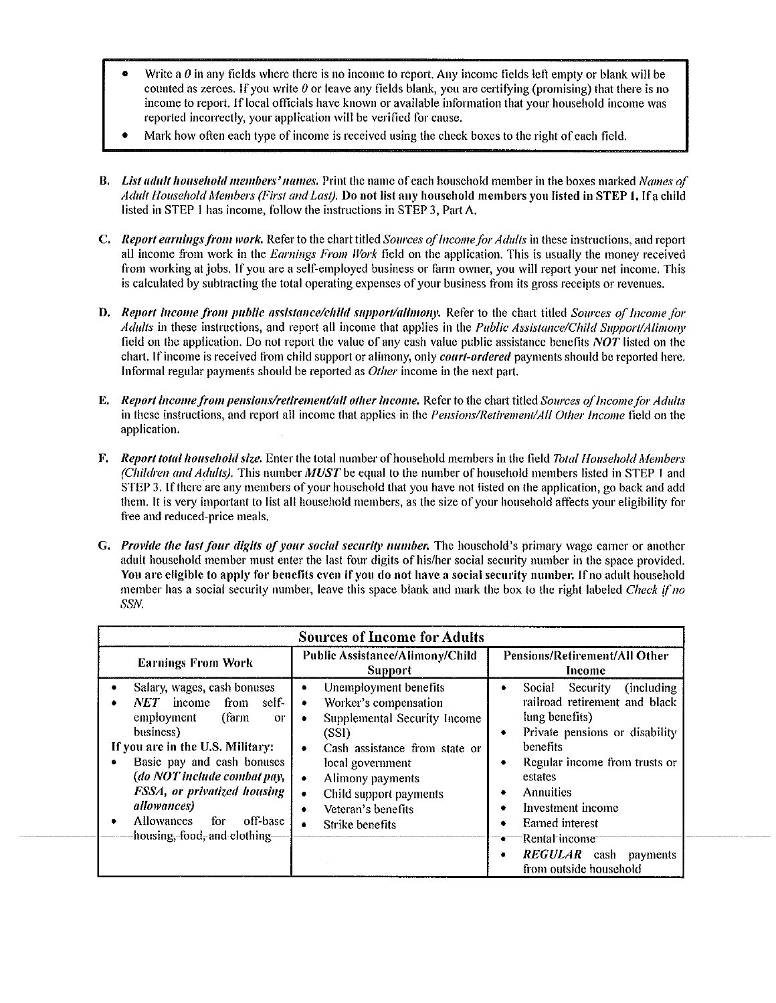- Write a  $\theta$  in any fields where there is no income to report. Any income fields left empty or blank will be counted as zeroes. If you write  $\theta$  or leave any fields blank, you are certifying (promising) that there is no income to report. If local officials have known or available information that your household income was reported incorrectly, your application will be verified for cause.
- Mark how often each type of income is received using the check boxes to the right of each field.
- **B.** List adult household members' names. Print the name of each household member in the boxes marked Names of Adult Household Members (First and Last). Do not list any household members you listed in STEP 1. If a child listed in STEP 1 has income, follow the instructions in STEP 3, Part A.
- C. Report earnings from work. Refer to the chart titled Sources of Income for Adults in these instructions, and report all income from work in the Earnings From Work field on the application. This is usually the money received from working at jobs. If you are a self-employed business or farm owner, you will report your net income. This is calculated by subtracting the total operating expenses of your business from its gross receipts or revenues.
- D. Report income from public assistance/child support/alimony. Refer to the chart titled Sources of Income for Adults in these instructions, and report all income that applies in the Public Assistance/Child Support/Alimony field on the application. Do not report the value of any cash value public assistance benefits *NOT* listed on the chart. If income is received from child support or alimony, only *court-ordered* payments should be reported here. Informal regular payments should be reported as *Other* income in the next part.
- E. Report income from pensions/retirement/all other income. Refer to the chart titled Sources of Income for Adults in these instructions, and report all income that applies in the *Pensions/Retirement/All Other Income* field on the application.
- F. Report total household size. Enter the total number of household members in the field Total Household Members (Children and Adults). This number MUST be equal to the number of household members listed in STEP 1 and STEP 3. If there are any members of your household that you have not listed on the application, go back and add them. It is very important to list all household members, as the size of your household affects your eligibility for free and reduced-price meals.
- G. Provide the last four digits of your social security number. The household's primary wage earner or another adult household member must enter the last four digits of his/her social security number in the space provided. You are eligible to apply for benefits even if you do not have a social security number. If no adult household member has a social security number, leave this space blank and mark the box to the right labeled *Check if no* SSN.

| <b>Sources of Income for Adults</b>                                                                                                                                                                                                                                                                                                 |                                                                                                                                                                                                                                                                                                                |                                                                                                                                                                                                                                                                                                                                        |  |  |  |  |  |  |  |
|-------------------------------------------------------------------------------------------------------------------------------------------------------------------------------------------------------------------------------------------------------------------------------------------------------------------------------------|----------------------------------------------------------------------------------------------------------------------------------------------------------------------------------------------------------------------------------------------------------------------------------------------------------------|----------------------------------------------------------------------------------------------------------------------------------------------------------------------------------------------------------------------------------------------------------------------------------------------------------------------------------------|--|--|--|--|--|--|--|
| <b>Earnings From Work</b>                                                                                                                                                                                                                                                                                                           | Public Assistance/Alimony/Child<br><b>Support</b>                                                                                                                                                                                                                                                              | Pensions/Retirement/All Other<br>Income                                                                                                                                                                                                                                                                                                |  |  |  |  |  |  |  |
| Salary, wages, cash bonuses<br>income<br>from<br>self-<br>NET<br>(farm<br>employment<br><b>OF</b><br>business)<br>If you are in the U.S. Military:<br>Basic pay and cash bonuses<br>(do NOT include combat pay,<br>FSSA, or privatized housing<br>allowances)<br>Allowances<br>for<br>off-base<br>٠<br>housing, food, and clothing- | Unemployment benefits<br>$\bullet$<br>Worker's compensation<br>٠<br>Supplemental Security Income<br>$\bullet$<br>(SSI)<br>Cash assistance from state or<br>۰<br>local government<br>Alimony payments<br>$\bullet$<br>Child support payments<br>$\bullet$<br>Veteran's benefits<br>Strike benefits<br>$\bullet$ | Social Security (including<br>railroad retirement and black<br>lung benefits)<br>Private pensions or disability<br>٠<br>benefits<br>Regular income from trusts or<br>٠<br>estates<br>Annuities<br>Investment income<br><b>Earned</b> interest<br>٠<br>•——Rental-income-<br><b>REGULAR</b> cash payments<br>٠<br>from outside household |  |  |  |  |  |  |  |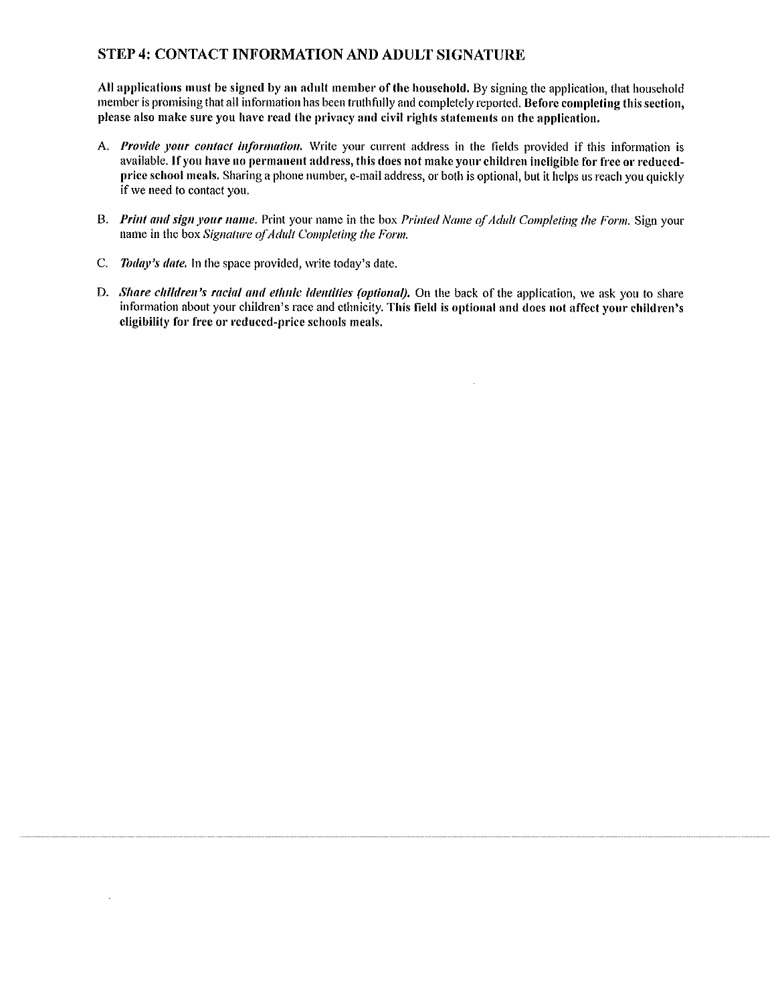## STEP 4: CONTACT INFORMATION AND ADULT SIGNATURE

All applications must be signed by an adult member of the household. By signing the application, that household member is promising that all information has been truthfully and completely reported. Before completing this section, please also make sure you have read the privacy and civil rights statements on the application.

- A. Provide your contact information. Write your current address in the fields provided if this information is available. If you have no permanent address, this does not make your children ineligible for free or reducedprice school meals. Sharing a phone number, e-mail address, or both is optional, but it helps us reach you quickly if we need to contact you.
- B. Print and sign your name. Print your name in the box Printed Name of Adult Completing the Form. Sign your name in the box Signature of Adult Completing the Form.
- C. Today's date. In the space provided, write today's date.

 $\bar{z}$ 

D. Share children's racial and ethnic identities (optional). On the back of the application, we ask you to share information about your children's race and ethnicity. This field is optional and does not affect your children's eligibility for free or reduced-price schools meals.

 $\bar{z}$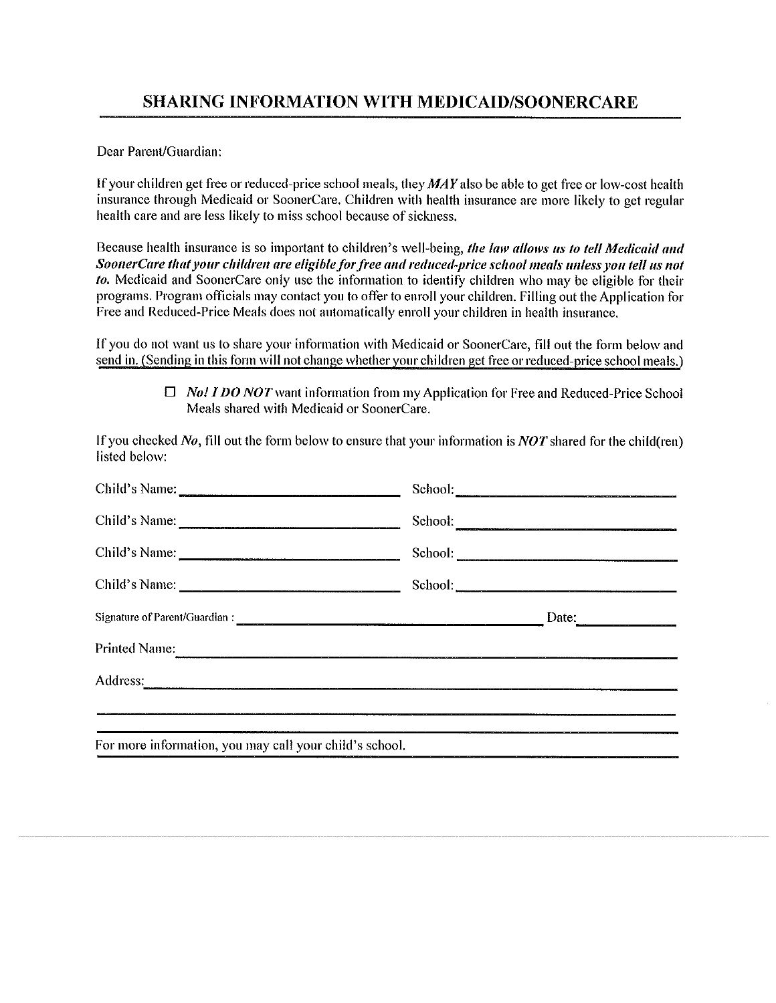Dear Parent/Guardian:

If your children get free or reduced-price school meals, they MAY also be able to get free or low-cost health insurance through Medicaid or SoonerCare. Children with health insurance are more likely to get regular health care and are less likely to miss school because of sickness.

Because health insurance is so important to children's well-being, the law allows us to tell Medicaid and SoonerCare that your children are eligible for free and reduced-price school meals unless you tell us not to. Medicaid and SoonerCare only use the information to identify children who may be eligible for their programs. Program officials may contact you to offer to enroll your children. Filling out the Application for Free and Reduced-Price Meals does not automatically enroll your children in health insurance.

If you do not want us to share your information with Medicaid or SoonerCare, fill out the form below and send in. (Sending in this form will not change whether your children get free or reduced-price school meals.)

> $\Box$  No! I DO NOT want information from my Application for Free and Reduced-Price School Meals shared with Medicaid or SoonerCare.

If you checked No, fill out the form below to ensure that your information is NOT shared for the child (ren) listed below:

| Child's Name:                                                                                                                                                                                                                  | School: |
|--------------------------------------------------------------------------------------------------------------------------------------------------------------------------------------------------------------------------------|---------|
| Child's Name:                                                                                                                                                                                                                  | School: |
| Child's Name:                                                                                                                                                                                                                  |         |
|                                                                                                                                                                                                                                |         |
|                                                                                                                                                                                                                                | Date:   |
| Printed Name:                                                                                                                                                                                                                  |         |
| Address: 2008. Contract to the contract of the contract of the contract of the contract of the contract of the contract of the contract of the contract of the contract of the contract of the contract of the contract of the |         |
| 一定是我的一个时间,我们的是我们的,我们的是我们的,我们也不是我们的,我们也不会不会不会不会。""我们的,我们也不会不是我们的。""我们,我们的,我们也不会不会不会不会不会                                                                                                                                         |         |
| For more information, you may call your child's school.                                                                                                                                                                        |         |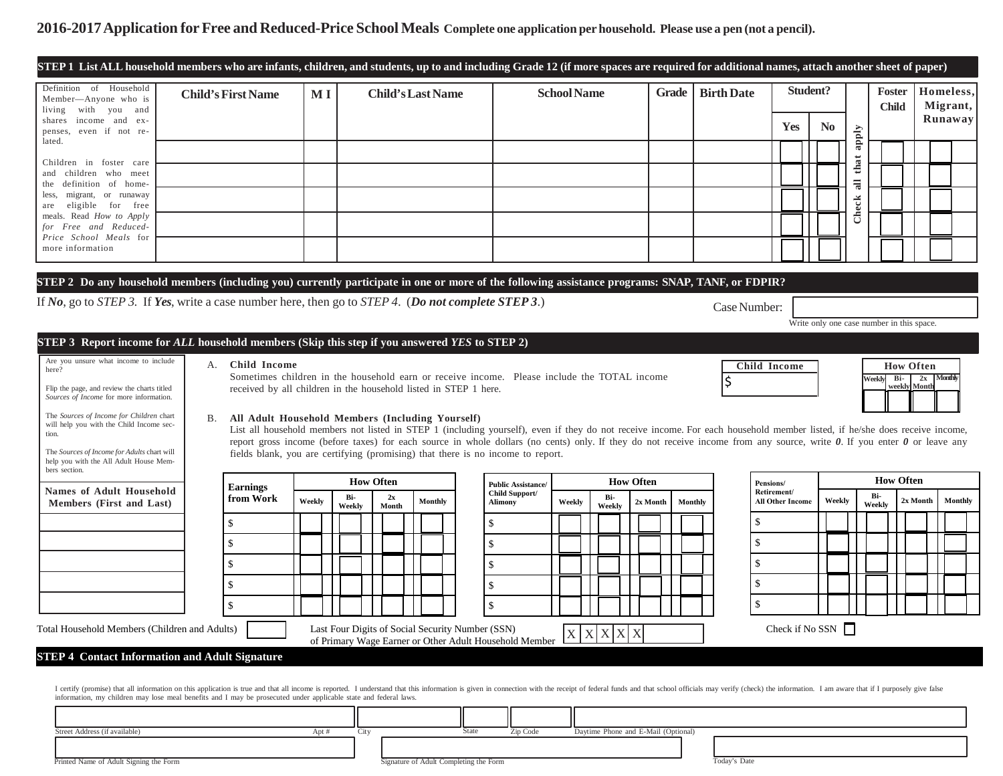## 2016-2017 Application for Free and Reduced-Price School Meals Complete one application per household. Please use a pen (not a pencil).

| Definition of Household<br>Member-Anyone who is<br>living with you and                                                                                                                                                                                                                                                                                                                 | <b>Child's First Name</b><br>$\bf{M}$ $\bf{I}$                   |        |  |        | <b>Child's Last Name</b> |         |                                                                                                                                                                                                                                                                            | <b>School Name</b> |        |        |                  | <b>Grade</b> |                | <b>Birth Date</b> |                     |                         | Student?       |                |        | Foster<br><b>Child</b> |                                           | Homeless,<br>Migrant, |
|----------------------------------------------------------------------------------------------------------------------------------------------------------------------------------------------------------------------------------------------------------------------------------------------------------------------------------------------------------------------------------------|------------------------------------------------------------------|--------|--|--------|--------------------------|---------|----------------------------------------------------------------------------------------------------------------------------------------------------------------------------------------------------------------------------------------------------------------------------|--------------------|--------|--------|------------------|--------------|----------------|-------------------|---------------------|-------------------------|----------------|----------------|--------|------------------------|-------------------------------------------|-----------------------|
| shares income and ex-<br>penses, even if not re-                                                                                                                                                                                                                                                                                                                                       |                                                                  |        |  |        |                          |         |                                                                                                                                                                                                                                                                            |                    |        |        |                  |              |                |                   |                     | Yes                     | N <sub>0</sub> |                | apply  |                        |                                           | Runaway               |
| lated.                                                                                                                                                                                                                                                                                                                                                                                 |                                                                  |        |  |        |                          |         |                                                                                                                                                                                                                                                                            |                    |        |        |                  |              |                |                   |                     |                         |                |                |        |                        |                                           |                       |
| Children in foster care<br>and children who meet                                                                                                                                                                                                                                                                                                                                       |                                                                  |        |  |        |                          |         |                                                                                                                                                                                                                                                                            |                    |        |        |                  |              |                |                   |                     |                         |                | that           |        |                        |                                           |                       |
| the definition of home-<br>migrant, or runaway<br>less,                                                                                                                                                                                                                                                                                                                                |                                                                  |        |  |        |                          |         |                                                                                                                                                                                                                                                                            |                    |        |        |                  |              |                |                   |                     |                         |                | $\overline{a}$ |        |                        |                                           |                       |
| eligible for free<br>are<br>meals. Read How to Apply                                                                                                                                                                                                                                                                                                                                   |                                                                  |        |  |        |                          |         |                                                                                                                                                                                                                                                                            |                    |        |        |                  |              |                |                   |                     |                         |                | Check          |        |                        |                                           |                       |
| for Free and Reduced-<br>Price School Meals for                                                                                                                                                                                                                                                                                                                                        |                                                                  |        |  |        |                          |         |                                                                                                                                                                                                                                                                            |                    |        |        |                  |              |                |                   |                     |                         |                |                |        |                        |                                           |                       |
| more information                                                                                                                                                                                                                                                                                                                                                                       |                                                                  |        |  |        |                          |         |                                                                                                                                                                                                                                                                            |                    |        |        |                  |              |                |                   |                     |                         |                |                |        |                        |                                           |                       |
| STEP 2 Do any household members (including you) currently participate in one or more of the following assistance programs: SNAP, TANF, or FDPIR?                                                                                                                                                                                                                                       |                                                                  |        |  |        |                          |         |                                                                                                                                                                                                                                                                            |                    |        |        |                  |              |                |                   |                     |                         |                |                |        |                        |                                           |                       |
| If No, go to STEP 3. If Yes, write a case number here, then go to STEP 4. (Do not complete STEP 3.)                                                                                                                                                                                                                                                                                    |                                                                  |        |  |        |                          |         |                                                                                                                                                                                                                                                                            |                    |        |        |                  |              |                |                   |                     |                         |                |                |        |                        |                                           |                       |
|                                                                                                                                                                                                                                                                                                                                                                                        |                                                                  |        |  |        |                          |         |                                                                                                                                                                                                                                                                            |                    |        |        |                  |              |                | Case Number:      |                     |                         |                |                |        |                        | Write only one case number in this space. |                       |
| STEP 3 Report income for ALL household members (Skip this step if you answered YES to STEP 2)                                                                                                                                                                                                                                                                                          |                                                                  |        |  |        |                          |         |                                                                                                                                                                                                                                                                            |                    |        |        |                  |              |                |                   |                     |                         |                |                |        |                        |                                           |                       |
|                                                                                                                                                                                                                                                                                                                                                                                        |                                                                  |        |  |        |                          |         |                                                                                                                                                                                                                                                                            |                    |        |        |                  |              |                |                   |                     |                         |                |                |        |                        |                                           |                       |
|                                                                                                                                                                                                                                                                                                                                                                                        |                                                                  |        |  |        |                          |         |                                                                                                                                                                                                                                                                            |                    |        |        |                  |              |                |                   |                     |                         |                |                |        |                        |                                           |                       |
|                                                                                                                                                                                                                                                                                                                                                                                        | A. Child Income                                                  |        |  |        |                          |         | Sometimes children in the household earn or receive income. Please include the TOTAL income                                                                                                                                                                                |                    |        |        |                  |              |                |                   | <b>Child Income</b> |                         |                |                | Weekly | Bi-                    | <b>How Often</b>                          | $2x$ Monthly          |
|                                                                                                                                                                                                                                                                                                                                                                                        | received by all children in the household listed in STEP 1 here. |        |  |        |                          |         |                                                                                                                                                                                                                                                                            |                    |        |        |                  |              |                | \$                |                     |                         |                |                |        |                        | weekly Montl                              |                       |
|                                                                                                                                                                                                                                                                                                                                                                                        | All Adult Household Members (Including Yourself)<br>В.           |        |  |        |                          |         |                                                                                                                                                                                                                                                                            |                    |        |        |                  |              |                |                   |                     |                         |                |                |        |                        |                                           |                       |
|                                                                                                                                                                                                                                                                                                                                                                                        |                                                                  |        |  |        |                          |         | List all household members not listed in STEP 1 (including yourself), even if they do not receive income. For each household member listed, if he/she does receive income,                                                                                                 |                    |        |        |                  |              |                |                   |                     |                         |                |                |        |                        |                                           |                       |
|                                                                                                                                                                                                                                                                                                                                                                                        |                                                                  |        |  |        |                          |         | report gross income (before taxes) for each source in whole dollars (no cents) only. If they do not receive income from any source, write $\theta$ . If you enter $\theta$ or leave any<br>fields blank, you are certifying (promising) that there is no income to report. |                    |        |        |                  |              |                |                   |                     |                         |                |                |        |                        |                                           |                       |
|                                                                                                                                                                                                                                                                                                                                                                                        |                                                                  |        |  |        | <b>How Often</b>         |         |                                                                                                                                                                                                                                                                            |                    |        |        | <b>How Often</b> |              |                |                   | Pensions/           |                         |                |                |        | <b>How Often</b>       |                                           |                       |
| Are you unsure what income to include<br>here?<br>Flip the page, and review the charts titled<br>Sources of Income for more information.<br>The Sources of Income for Children chart<br>will help you with the Child Income sec-<br>tion.<br>The Sources of Income for Adults chart will<br>help you with the All Adult House Mem-<br>bers section.<br><b>Names of Adult Household</b> | <b>Earnings</b><br>from Work                                     | Weekly |  | Bi-    | 2x                       | Monthly | <b>Public Assistance/</b><br>Child Support/<br><b>Alimony</b>                                                                                                                                                                                                              | Weekly             |        | Bi-    | 2x Month         |              | <b>Monthly</b> |                   | Retirement/         | <b>All Other Income</b> |                | Weekly         | Bi-    |                        | 2x Month                                  | Monthly               |
|                                                                                                                                                                                                                                                                                                                                                                                        |                                                                  |        |  | Weekly | Month                    |         |                                                                                                                                                                                                                                                                            |                    |        | Weekly |                  |              |                |                   | $\mathbf{\$}$       |                         |                |                | Weekly |                        |                                           |                       |
|                                                                                                                                                                                                                                                                                                                                                                                        | \$<br>\$                                                         |        |  |        |                          |         | \$                                                                                                                                                                                                                                                                         |                    |        |        |                  |              |                |                   | <sup>\$</sup>       |                         |                |                |        |                        |                                           |                       |
| Members (First and Last)                                                                                                                                                                                                                                                                                                                                                               |                                                                  |        |  |        |                          |         | \$                                                                                                                                                                                                                                                                         |                    |        |        |                  |              |                |                   |                     |                         |                |                |        |                        |                                           |                       |
|                                                                                                                                                                                                                                                                                                                                                                                        | \$                                                               |        |  |        |                          |         | \$                                                                                                                                                                                                                                                                         |                    |        |        |                  |              |                |                   | $\mathbf{\$}$       |                         |                |                |        |                        |                                           |                       |
|                                                                                                                                                                                                                                                                                                                                                                                        | $\mathcal{S}$                                                    |        |  |        |                          |         | \$                                                                                                                                                                                                                                                                         |                    |        |        |                  |              |                |                   | $\mathcal{S}$       |                         |                |                |        |                        |                                           |                       |
|                                                                                                                                                                                                                                                                                                                                                                                        | \$                                                               |        |  |        |                          |         | \$                                                                                                                                                                                                                                                                         |                    |        |        |                  |              |                |                   |                     |                         |                |                |        |                        |                                           |                       |
| Total Household Members (Children and Adults)                                                                                                                                                                                                                                                                                                                                          |                                                                  |        |  |        |                          |         | Last Four Digits of Social Security Number (SSN)                                                                                                                                                                                                                           | X                  | X<br>X | X      | $\mathbf{X}$     |              |                |                   |                     | Check if No SSN $\Box$  |                |                |        |                        |                                           |                       |
| <b>STEP 4 Contact Information and Adult Signature</b>                                                                                                                                                                                                                                                                                                                                  |                                                                  |        |  |        |                          |         | of Primary Wage Earner or Other Adult Household Member                                                                                                                                                                                                                     |                    |        |        |                  |              |                |                   |                     |                         |                |                |        |                        |                                           |                       |

| Street Address (if available)          | Apt |                                        | State | Zip Code | Daytime Phone and E-Mail (Optional) |              |
|----------------------------------------|-----|----------------------------------------|-------|----------|-------------------------------------|--------------|
|                                        |     |                                        |       |          |                                     |              |
| Printed Name of Adult Signing the Form |     | Signature of Adult Completing the Form |       |          |                                     | Today's Date |